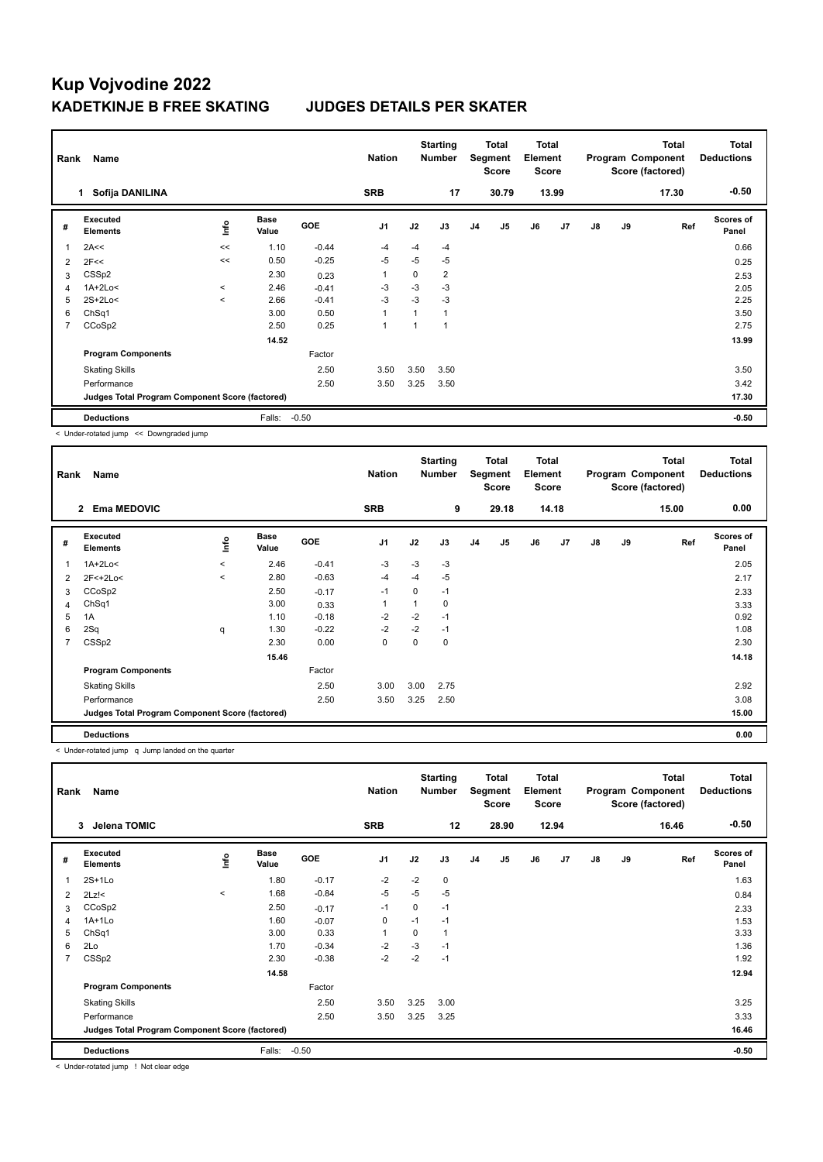| Rank           | Name                                            |             |                      |            | <b>Nation</b>  |      | <b>Starting</b><br><b>Number</b> |                | Total<br>Segment<br><b>Score</b> | <b>Total</b><br>Element<br><b>Score</b> |       |               |    | <b>Total</b><br>Program Component<br>Score (factored) | <b>Total</b><br><b>Deductions</b> |
|----------------|-------------------------------------------------|-------------|----------------------|------------|----------------|------|----------------------------------|----------------|----------------------------------|-----------------------------------------|-------|---------------|----|-------------------------------------------------------|-----------------------------------|
|                | Sofija DANILINA<br>1.                           |             |                      |            | <b>SRB</b>     |      | 17                               |                | 30.79                            |                                         | 13.99 |               |    | 17.30                                                 | $-0.50$                           |
| #              | Executed<br><b>Elements</b>                     | <u>lnfo</u> | <b>Base</b><br>Value | <b>GOE</b> | J <sub>1</sub> | J2   | J3                               | J <sub>4</sub> | J5                               | J6                                      | J7    | $\mathsf{J}8$ | J9 | Ref                                                   | <b>Scores of</b><br>Panel         |
|                | 2A<<                                            | <<          | 1.10                 | $-0.44$    | $-4$           | $-4$ | $-4$                             |                |                                  |                                         |       |               |    |                                                       | 0.66                              |
| $\overline{2}$ | 2F<<                                            | <<          | 0.50                 | $-0.25$    | $-5$           | $-5$ | $-5$                             |                |                                  |                                         |       |               |    |                                                       | 0.25                              |
| 3              | CSSp2                                           |             | 2.30                 | 0.23       | $\mathbf{1}$   | 0    | $\overline{2}$                   |                |                                  |                                         |       |               |    |                                                       | 2.53                              |
| 4              | 1A+2Lo<                                         | $\prec$     | 2.46                 | $-0.41$    | $-3$           | $-3$ | $-3$                             |                |                                  |                                         |       |               |    |                                                       | 2.05                              |
| 5              | 2S+2Lo<                                         | $\prec$     | 2.66                 | $-0.41$    | $-3$           | $-3$ | $-3$                             |                |                                  |                                         |       |               |    |                                                       | 2.25                              |
| 6              | ChSq1                                           |             | 3.00                 | 0.50       | 1              |      | 1                                |                |                                  |                                         |       |               |    |                                                       | 3.50                              |
| 7              | CCoSp2                                          |             | 2.50                 | 0.25       | $\overline{1}$ | 1    | 1                                |                |                                  |                                         |       |               |    |                                                       | 2.75                              |
|                |                                                 |             | 14.52                |            |                |      |                                  |                |                                  |                                         |       |               |    |                                                       | 13.99                             |
|                | <b>Program Components</b>                       |             |                      | Factor     |                |      |                                  |                |                                  |                                         |       |               |    |                                                       |                                   |
|                | <b>Skating Skills</b>                           |             |                      | 2.50       | 3.50           | 3.50 | 3.50                             |                |                                  |                                         |       |               |    |                                                       | 3.50                              |
|                | Performance                                     |             |                      | 2.50       | 3.50           | 3.25 | 3.50                             |                |                                  |                                         |       |               |    |                                                       | 3.42                              |
|                | Judges Total Program Component Score (factored) |             |                      |            |                |      |                                  |                |                                  |                                         |       |               |    |                                                       | 17.30                             |
|                | <b>Deductions</b>                               |             | Falls:               | $-0.50$    |                |      |                                  |                |                                  |                                         |       |               |    |                                                       | $-0.50$                           |

< Under-rotated jump << Downgraded jump

| Rank           | Name                                            |         |                      |            | <b>Nation</b>  |          | <b>Starting</b><br><b>Number</b> |                | Total<br>Segment<br><b>Score</b> | <b>Total</b><br>Element<br><b>Score</b> |       |               |    | <b>Total</b><br>Program Component<br>Score (factored) | <b>Total</b><br><b>Deductions</b> |
|----------------|-------------------------------------------------|---------|----------------------|------------|----------------|----------|----------------------------------|----------------|----------------------------------|-----------------------------------------|-------|---------------|----|-------------------------------------------------------|-----------------------------------|
|                | <b>Ema MEDOVIC</b><br>$\overline{2}$            |         |                      |            | <b>SRB</b>     |          | 9                                |                | 29.18                            |                                         | 14.18 |               |    | 15.00                                                 | 0.00                              |
| #              | <b>Executed</b><br><b>Elements</b>              | ١nfo    | <b>Base</b><br>Value | <b>GOE</b> | J <sub>1</sub> | J2       | J3                               | J <sub>4</sub> | J5                               | J6                                      | J7    | $\mathsf{J}8$ | J9 | Ref                                                   | <b>Scores of</b><br>Panel         |
|                | $1A+2Lo<$                                       | $\prec$ | 2.46                 | $-0.41$    | $-3$           | $-3$     | $-3$                             |                |                                  |                                         |       |               |    |                                                       | 2.05                              |
| $\overline{2}$ | $2F<+2Lo<$                                      | $\,<$   | 2.80                 | $-0.63$    | $-4$           | $-4$     | $-5$                             |                |                                  |                                         |       |               |    |                                                       | 2.17                              |
| 3              | CCoSp2                                          |         | 2.50                 | $-0.17$    | $-1$           | $\Omega$ | $-1$                             |                |                                  |                                         |       |               |    |                                                       | 2.33                              |
| 4              | Ch <sub>Sq1</sub>                               |         | 3.00                 | 0.33       | 1              |          | 0                                |                |                                  |                                         |       |               |    |                                                       | 3.33                              |
| 5              | 1A                                              |         | 1.10                 | $-0.18$    | -2             | $-2$     | $-1$                             |                |                                  |                                         |       |               |    |                                                       | 0.92                              |
| 6              | 2Sq                                             | q       | 1.30                 | $-0.22$    | $-2$           | $-2$     | $-1$                             |                |                                  |                                         |       |               |    |                                                       | 1.08                              |
|                | CSSp2                                           |         | 2.30                 | 0.00       | $\mathbf 0$    | $\Omega$ | 0                                |                |                                  |                                         |       |               |    |                                                       | 2.30                              |
|                |                                                 |         | 15.46                |            |                |          |                                  |                |                                  |                                         |       |               |    |                                                       | 14.18                             |
|                | <b>Program Components</b>                       |         |                      | Factor     |                |          |                                  |                |                                  |                                         |       |               |    |                                                       |                                   |
|                | <b>Skating Skills</b>                           |         |                      | 2.50       | 3.00           | 3.00     | 2.75                             |                |                                  |                                         |       |               |    |                                                       | 2.92                              |
|                | Performance                                     |         |                      | 2.50       | 3.50           | 3.25     | 2.50                             |                |                                  |                                         |       |               |    |                                                       | 3.08                              |
|                | Judges Total Program Component Score (factored) |         |                      |            |                |          |                                  |                |                                  |                                         |       |               |    |                                                       | 15.00                             |
|                | <b>Deductions</b>                               |         |                      |            |                |          |                                  |                |                                  |                                         |       |               |    |                                                       | 0.00                              |

< Under-rotated jump q Jump landed on the quarter

| Rank                    | Name                                            |         |                      |         | <b>Nation</b>  |      | <b>Starting</b><br><b>Number</b> |                | Total<br>Segment<br><b>Score</b> | <b>Total</b><br>Element<br>Score |                |               |    | Total<br>Program Component<br>Score (factored) | <b>Total</b><br><b>Deductions</b> |
|-------------------------|-------------------------------------------------|---------|----------------------|---------|----------------|------|----------------------------------|----------------|----------------------------------|----------------------------------|----------------|---------------|----|------------------------------------------------|-----------------------------------|
|                         | Jelena TOMIC<br>3                               |         |                      |         | <b>SRB</b>     |      | 12                               |                | 28.90                            |                                  | 12.94          |               |    | 16.46                                          | $-0.50$                           |
| #                       | Executed<br><b>Elements</b>                     | ١nfo    | <b>Base</b><br>Value | GOE     | J <sub>1</sub> | J2   | J3                               | J <sub>4</sub> | J5                               | J6                               | J <sub>7</sub> | $\mathsf{J}8$ | J9 | Ref                                            | <b>Scores of</b><br>Panel         |
| $\overline{\mathbf{1}}$ | $2S+1Lo$                                        |         | 1.80                 | $-0.17$ | $-2$           | $-2$ | 0                                |                |                                  |                                  |                |               |    |                                                | 1.63                              |
| 2                       | $2Lz$ !<                                        | $\prec$ | 1.68                 | $-0.84$ | $-5$           | $-5$ | $-5$                             |                |                                  |                                  |                |               |    |                                                | 0.84                              |
| 3                       | CCoSp2                                          |         | 2.50                 | $-0.17$ | $-1$           | 0    | $-1$                             |                |                                  |                                  |                |               |    |                                                | 2.33                              |
| 4                       | $1A+1Lo$                                        |         | 1.60                 | $-0.07$ | 0              | $-1$ | $-1$                             |                |                                  |                                  |                |               |    |                                                | 1.53                              |
| 5                       | ChSq1                                           |         | 3.00                 | 0.33    | 1              | 0    | 1                                |                |                                  |                                  |                |               |    |                                                | 3.33                              |
| 6                       | 2Lo                                             |         | 1.70                 | $-0.34$ | $-2$           | $-3$ | $-1$                             |                |                                  |                                  |                |               |    |                                                | 1.36                              |
| 7                       | CSSp2                                           |         | 2.30                 | $-0.38$ | $-2$           | $-2$ | $-1$                             |                |                                  |                                  |                |               |    |                                                | 1.92                              |
|                         |                                                 |         | 14.58                |         |                |      |                                  |                |                                  |                                  |                |               |    |                                                | 12.94                             |
|                         | <b>Program Components</b>                       |         |                      | Factor  |                |      |                                  |                |                                  |                                  |                |               |    |                                                |                                   |
|                         | <b>Skating Skills</b>                           |         |                      | 2.50    | 3.50           | 3.25 | 3.00                             |                |                                  |                                  |                |               |    |                                                | 3.25                              |
|                         | Performance                                     |         |                      | 2.50    | 3.50           | 3.25 | 3.25                             |                |                                  |                                  |                |               |    |                                                | 3.33                              |
|                         | Judges Total Program Component Score (factored) |         |                      |         |                |      |                                  |                |                                  |                                  |                |               |    |                                                | 16.46                             |
|                         | <b>Deductions</b>                               |         | Falls:               | $-0.50$ |                |      |                                  |                |                                  |                                  |                |               |    |                                                | $-0.50$                           |

< Under-rotated jump ! Not clear edge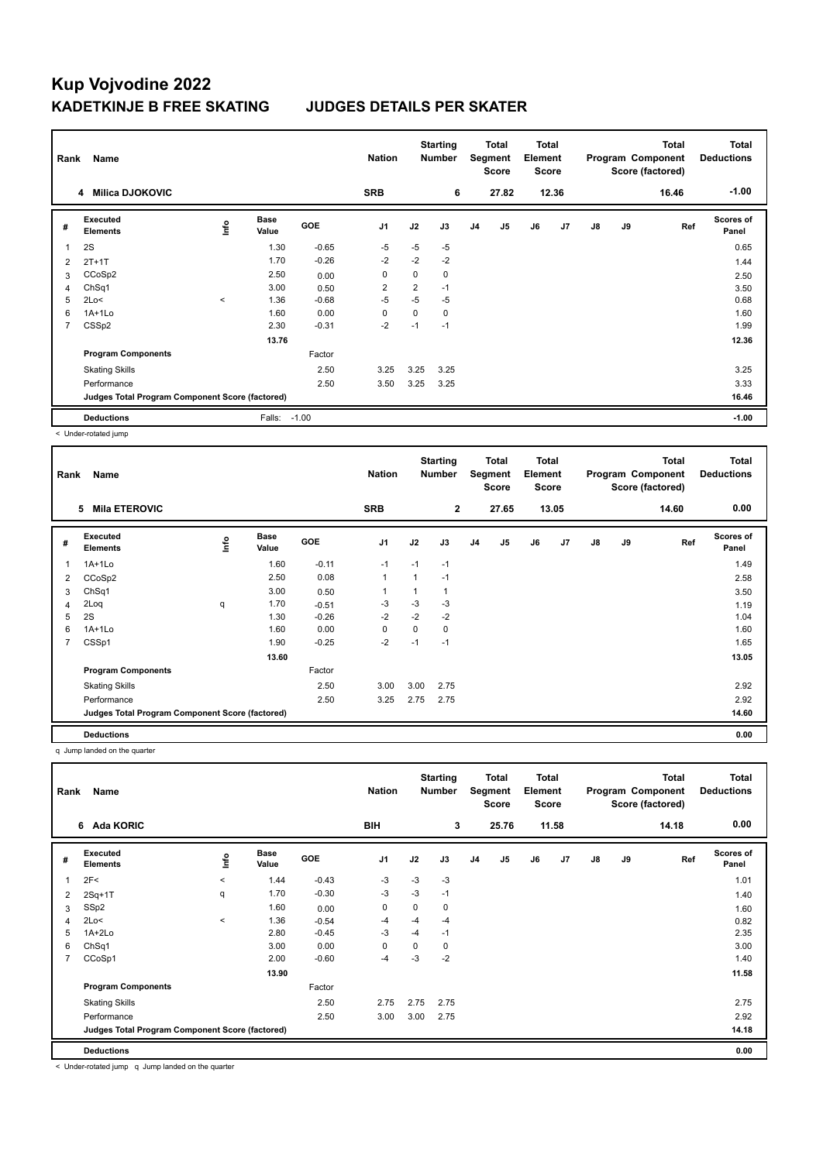| Rank                     | Name                                            |         |                      |            | <b>Nation</b>  |                | <b>Starting</b><br><b>Number</b> |                | Total<br>Segment<br><b>Score</b> | <b>Total</b><br>Element<br><b>Score</b> |       |               |    | <b>Total</b><br>Program Component<br>Score (factored) | Total<br><b>Deductions</b> |
|--------------------------|-------------------------------------------------|---------|----------------------|------------|----------------|----------------|----------------------------------|----------------|----------------------------------|-----------------------------------------|-------|---------------|----|-------------------------------------------------------|----------------------------|
|                          | <b>Milica DJOKOVIC</b><br>4                     |         |                      |            | <b>SRB</b>     |                | 6                                |                | 27.82                            |                                         | 12.36 |               |    | 16.46                                                 | $-1.00$                    |
| #                        | Executed<br><b>Elements</b>                     | lnfo    | <b>Base</b><br>Value | <b>GOE</b> | J <sub>1</sub> | J2             | J3                               | J <sub>4</sub> | J <sub>5</sub>                   | J6                                      | J7    | $\mathsf{J}8$ | J9 | Ref                                                   | <b>Scores of</b><br>Panel  |
| $\overline{\phantom{a}}$ | 2S                                              |         | 1.30                 | $-0.65$    | $-5$           | $-5$           | $-5$                             |                |                                  |                                         |       |               |    |                                                       | 0.65                       |
| $\overline{2}$           | $2T+1T$                                         |         | 1.70                 | $-0.26$    | $-2$           | $-2$           | $-2$                             |                |                                  |                                         |       |               |    |                                                       | 1.44                       |
| 3                        | CCoSp2                                          |         | 2.50                 | 0.00       | 0              | 0              | 0                                |                |                                  |                                         |       |               |    |                                                       | 2.50                       |
| 4                        | ChSq1                                           |         | 3.00                 | 0.50       | $\overline{2}$ | $\overline{2}$ | $-1$                             |                |                                  |                                         |       |               |    |                                                       | 3.50                       |
| 5                        | 2Lo<                                            | $\,<\,$ | 1.36                 | $-0.68$    | $-5$           | $-5$           | $-5$                             |                |                                  |                                         |       |               |    |                                                       | 0.68                       |
| 6                        | $1A+1L0$                                        |         | 1.60                 | 0.00       | $\Omega$       | 0              | 0                                |                |                                  |                                         |       |               |    |                                                       | 1.60                       |
| 7                        | CSSp2                                           |         | 2.30                 | $-0.31$    | $-2$           | $-1$           | $-1$                             |                |                                  |                                         |       |               |    |                                                       | 1.99                       |
|                          |                                                 |         | 13.76                |            |                |                |                                  |                |                                  |                                         |       |               |    |                                                       | 12.36                      |
|                          | <b>Program Components</b>                       |         |                      | Factor     |                |                |                                  |                |                                  |                                         |       |               |    |                                                       |                            |
|                          | <b>Skating Skills</b>                           |         |                      | 2.50       | 3.25           | 3.25           | 3.25                             |                |                                  |                                         |       |               |    |                                                       | 3.25                       |
|                          | Performance                                     |         |                      | 2.50       | 3.50           | 3.25           | 3.25                             |                |                                  |                                         |       |               |    |                                                       | 3.33                       |
|                          | Judges Total Program Component Score (factored) |         |                      |            |                |                |                                  |                |                                  |                                         |       |               |    |                                                       | 16.46                      |
|                          | <b>Deductions</b>                               |         | Falls:               | $-1.00$    |                |                |                                  |                |                                  |                                         |       |               |    |                                                       | $-1.00$                    |

< Under-rotated jump

| Rank | Name                                            |      |                      |            | <b>Nation</b>  |      | <b>Starting</b><br><b>Number</b> |                | Total<br>Segment<br><b>Score</b> | <b>Total</b><br>Element<br><b>Score</b> |                |               |    | Total<br>Program Component<br>Score (factored) | <b>Total</b><br><b>Deductions</b> |
|------|-------------------------------------------------|------|----------------------|------------|----------------|------|----------------------------------|----------------|----------------------------------|-----------------------------------------|----------------|---------------|----|------------------------------------------------|-----------------------------------|
|      | <b>Mila ETEROVIC</b><br>5                       |      |                      |            | <b>SRB</b>     |      | $\overline{2}$                   |                | 27.65                            |                                         | 13.05          |               |    | 14.60                                          | 0.00                              |
| #    | <b>Executed</b><br><b>Elements</b>              | lnfo | <b>Base</b><br>Value | <b>GOE</b> | J <sub>1</sub> | J2   | J3                               | J <sub>4</sub> | J5                               | J6                                      | J <sub>7</sub> | $\mathsf{J}8$ | J9 | Ref                                            | <b>Scores of</b><br>Panel         |
| 1    | $1A+1L0$                                        |      | 1.60                 | $-0.11$    | $-1$           | $-1$ | $-1$                             |                |                                  |                                         |                |               |    |                                                | 1.49                              |
| 2    | CCoSp2                                          |      | 2.50                 | 0.08       | $\mathbf{1}$   | 1    | $-1$                             |                |                                  |                                         |                |               |    |                                                | 2.58                              |
| 3    | ChSq1                                           |      | 3.00                 | 0.50       | 1              |      |                                  |                |                                  |                                         |                |               |    |                                                | 3.50                              |
| 4    | 2Loq                                            | q    | 1.70                 | $-0.51$    | $-3$           | $-3$ | -3                               |                |                                  |                                         |                |               |    |                                                | 1.19                              |
| 5    | 2S                                              |      | 1.30                 | $-0.26$    | $-2$           | $-2$ | $-2$                             |                |                                  |                                         |                |               |    |                                                | 1.04                              |
| 6    | $1A+1L0$                                        |      | 1.60                 | 0.00       | 0              | 0    | 0                                |                |                                  |                                         |                |               |    |                                                | 1.60                              |
| 7    | CSSp1                                           |      | 1.90                 | $-0.25$    | $-2$           | $-1$ | $-1$                             |                |                                  |                                         |                |               |    |                                                | 1.65                              |
|      |                                                 |      | 13.60                |            |                |      |                                  |                |                                  |                                         |                |               |    |                                                | 13.05                             |
|      | <b>Program Components</b>                       |      |                      | Factor     |                |      |                                  |                |                                  |                                         |                |               |    |                                                |                                   |
|      | <b>Skating Skills</b>                           |      |                      | 2.50       | 3.00           | 3.00 | 2.75                             |                |                                  |                                         |                |               |    |                                                | 2.92                              |
|      | Performance                                     |      |                      | 2.50       | 3.25           | 2.75 | 2.75                             |                |                                  |                                         |                |               |    |                                                | 2.92                              |
|      | Judges Total Program Component Score (factored) |      |                      |            |                |      |                                  |                |                                  |                                         |                |               |    |                                                | 14.60                             |
|      | <b>Deductions</b>                               |      |                      |            |                |      |                                  |                |                                  |                                         |                |               |    |                                                | 0.00                              |

q Jump landed on the quarter

| Rank           | Name                                            |         |                      |            | <b>Nation</b> |      | <b>Starting</b><br><b>Number</b> |                | Total<br>Segment<br><b>Score</b> | <b>Total</b><br>Element<br><b>Score</b> |       |               |    | <b>Total</b><br>Program Component<br>Score (factored) | Total<br><b>Deductions</b> |
|----------------|-------------------------------------------------|---------|----------------------|------------|---------------|------|----------------------------------|----------------|----------------------------------|-----------------------------------------|-------|---------------|----|-------------------------------------------------------|----------------------------|
|                | <b>Ada KORIC</b><br>6                           |         |                      |            | <b>BIH</b>    |      | 3                                |                | 25.76                            |                                         | 11.58 |               |    | 14.18                                                 | 0.00                       |
| #              | Executed<br><b>Elements</b>                     | ١nf٥    | <b>Base</b><br>Value | <b>GOE</b> | J1            | J2   | J3                               | J <sub>4</sub> | J <sub>5</sub>                   | J6                                      | J7    | $\mathsf{J}8$ | J9 | Ref                                                   | <b>Scores of</b><br>Panel  |
|                | 2F<                                             | $\prec$ | 1.44                 | $-0.43$    | $-3$          | $-3$ | $-3$                             |                |                                  |                                         |       |               |    |                                                       | 1.01                       |
| 2              | $2Sq+1T$                                        | q       | 1.70                 | $-0.30$    | $-3$          | $-3$ | $-1$                             |                |                                  |                                         |       |               |    |                                                       | 1.40                       |
| 3              | SSp2                                            |         | 1.60                 | 0.00       | 0             | 0    | 0                                |                |                                  |                                         |       |               |    |                                                       | 1.60                       |
| $\overline{4}$ | 2Lo<                                            | $\,<\,$ | 1.36                 | $-0.54$    | -4            | $-4$ | $-4$                             |                |                                  |                                         |       |               |    |                                                       | 0.82                       |
| 5              | 1A+2Lo                                          |         | 2.80                 | $-0.45$    | $-3$          | $-4$ | $-1$                             |                |                                  |                                         |       |               |    |                                                       | 2.35                       |
| 6              | ChSq1                                           |         | 3.00                 | 0.00       | 0             | 0    | 0                                |                |                                  |                                         |       |               |    |                                                       | 3.00                       |
| $\overline{7}$ | CCoSp1                                          |         | 2.00                 | $-0.60$    | $-4$          | $-3$ | $-2$                             |                |                                  |                                         |       |               |    |                                                       | 1.40                       |
|                |                                                 |         | 13.90                |            |               |      |                                  |                |                                  |                                         |       |               |    |                                                       | 11.58                      |
|                | <b>Program Components</b>                       |         |                      | Factor     |               |      |                                  |                |                                  |                                         |       |               |    |                                                       |                            |
|                | <b>Skating Skills</b>                           |         |                      | 2.50       | 2.75          | 2.75 | 2.75                             |                |                                  |                                         |       |               |    |                                                       | 2.75                       |
|                | Performance                                     |         |                      | 2.50       | 3.00          | 3.00 | 2.75                             |                |                                  |                                         |       |               |    |                                                       | 2.92                       |
|                | Judges Total Program Component Score (factored) |         |                      |            |               |      |                                  |                |                                  |                                         |       |               |    |                                                       | 14.18                      |
|                | <b>Deductions</b>                               |         |                      |            |               |      |                                  |                |                                  |                                         |       |               |    |                                                       | 0.00                       |

< Under-rotated jump q Jump landed on the quarter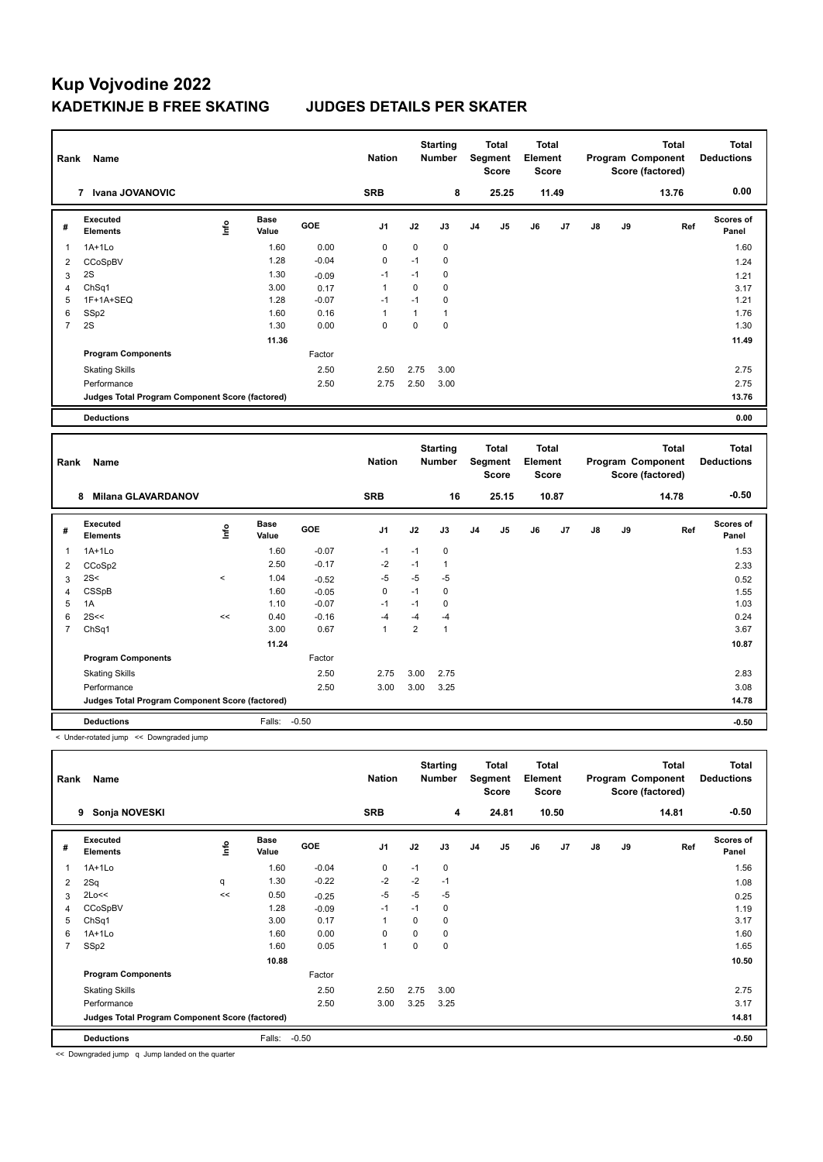| Rank           | Name                                            |             |                      |         | <b>Nation</b>  |                | <b>Starting</b><br><b>Number</b> |                | <b>Total</b><br>Segment<br><b>Score</b> | <b>Total</b><br>Element<br><b>Score</b> |       |    |    | <b>Total</b><br>Program Component<br>Score (factored) |     | <b>Total</b><br><b>Deductions</b> |
|----------------|-------------------------------------------------|-------------|----------------------|---------|----------------|----------------|----------------------------------|----------------|-----------------------------------------|-----------------------------------------|-------|----|----|-------------------------------------------------------|-----|-----------------------------------|
|                | 7 Ivana JOVANOVIC                               |             |                      |         | <b>SRB</b>     |                | 8                                |                | 25.25                                   |                                         | 11.49 |    |    | 13.76                                                 |     | 0.00                              |
| #              | <b>Executed</b><br><b>Elements</b>              | Linfo       | <b>Base</b><br>Value | GOE     | J <sub>1</sub> | J2             | J3                               | J4             | J <sub>5</sub>                          | J6                                      | J7    | J8 | J9 |                                                       | Ref | Scores of<br>Panel                |
| $\mathbf{1}$   | $1A+1Lo$                                        |             | 1.60                 | 0.00    | 0              | 0              | 0                                |                |                                         |                                         |       |    |    |                                                       |     | 1.60                              |
| $\overline{2}$ | CCoSpBV                                         |             | 1.28                 | $-0.04$ | $\mathbf 0$    | $-1$           | 0                                |                |                                         |                                         |       |    |    |                                                       |     | 1.24                              |
| 3              | 2S                                              |             | 1.30                 | $-0.09$ | $-1$           | $-1$           | 0                                |                |                                         |                                         |       |    |    |                                                       |     | 1.21                              |
| $\overline{4}$ | ChSq1                                           |             | 3.00                 | 0.17    | $\mathbf{1}$   | $\mathbf 0$    | 0                                |                |                                         |                                         |       |    |    |                                                       |     | 3.17                              |
| 5              | 1F+1A+SEQ                                       |             | 1.28                 | $-0.07$ | $-1$           | $-1$           | $\mathbf 0$                      |                |                                         |                                         |       |    |    |                                                       |     | 1.21                              |
| 6              | SSp2                                            |             | 1.60                 | 0.16    | $\mathbf{1}$   | $\mathbf{1}$   | $\mathbf{1}$                     |                |                                         |                                         |       |    |    |                                                       |     | 1.76                              |
| $\overline{7}$ | 2S                                              |             | 1.30                 | 0.00    | $\Omega$       | $\mathbf 0$    | 0                                |                |                                         |                                         |       |    |    |                                                       |     | 1.30                              |
|                |                                                 |             | 11.36                |         |                |                |                                  |                |                                         |                                         |       |    |    |                                                       |     | 11.49                             |
|                | <b>Program Components</b>                       |             |                      | Factor  |                |                |                                  |                |                                         |                                         |       |    |    |                                                       |     |                                   |
|                | <b>Skating Skills</b>                           |             |                      | 2.50    | 2.50           | 2.75           | 3.00                             |                |                                         |                                         |       |    |    |                                                       |     | 2.75                              |
|                | Performance                                     |             |                      | 2.50    | 2.75           | 2.50           | 3.00                             |                |                                         |                                         |       |    |    |                                                       |     | 2.75                              |
|                | Judges Total Program Component Score (factored) |             |                      |         |                |                |                                  |                |                                         |                                         |       |    |    |                                                       |     | 13.76                             |
|                | <b>Deductions</b>                               |             |                      |         |                |                |                                  |                |                                         |                                         |       |    |    |                                                       |     | 0.00                              |
|                |                                                 |             |                      |         |                |                |                                  |                |                                         |                                         |       |    |    |                                                       |     |                                   |
|                |                                                 |             |                      |         |                |                | <b>Starting</b>                  |                | <b>Total</b>                            | Total                                   |       |    |    | <b>Total</b>                                          |     | <b>Total</b>                      |
| Rank           | Name                                            |             |                      |         | <b>Nation</b>  |                | <b>Number</b>                    |                | <b>Segment</b><br><b>Score</b>          | Element<br><b>Score</b>                 |       |    |    | Program Component<br>Score (factored)                 |     | <b>Deductions</b>                 |
|                | 8 Milana GLAVARDANOV                            |             |                      |         | <b>SRB</b>     |                | 16                               |                | 25.15                                   |                                         | 10.87 |    |    | 14.78                                                 |     | $-0.50$                           |
| #              | <b>Executed</b><br><b>Elements</b>              | <u>info</u> | <b>Base</b><br>Value | GOE     | J1             | J2             | J3                               | J <sub>4</sub> | J5                                      | J6                                      | J7    | J8 | J9 |                                                       | Ref | Scores of<br>Panel                |
| $\mathbf{1}$   | $1A+1Lo$                                        |             | 1.60                 | $-0.07$ | $-1$           | $-1$           | 0                                |                |                                         |                                         |       |    |    |                                                       |     | 1.53                              |
| $\overline{2}$ | CCoSp2                                          |             | 2.50                 | $-0.17$ | $-2$           | $-1$           | $\mathbf{1}$                     |                |                                         |                                         |       |    |    |                                                       |     | 2.33                              |
| 3              | 2S<                                             | $\,<$       | 1.04                 | $-0.52$ | $-5$           | $-5$           | $-5$                             |                |                                         |                                         |       |    |    |                                                       |     | 0.52                              |
| $\overline{4}$ | CSSpB                                           |             | 1.60                 | $-0.05$ | $\mathbf 0$    | $-1$           | $\mathbf 0$                      |                |                                         |                                         |       |    |    |                                                       |     | 1.55                              |
| 5              | 1A                                              |             | 1.10                 | $-0.07$ | $-1$           | $-1$           | $\mathbf 0$                      |                |                                         |                                         |       |    |    |                                                       |     | 1.03                              |
| 6              | 2S<<                                            | <<          | 0.40                 | $-0.16$ | $-4$           | $-4$           | $-4$                             |                |                                         |                                         |       |    |    |                                                       |     | 0.24                              |
| $\overline{7}$ | ChSq1                                           |             | 3.00                 | 0.67    | $\mathbf{1}$   | $\overline{2}$ | $\mathbf{1}$                     |                |                                         |                                         |       |    |    |                                                       |     | 3.67                              |
|                |                                                 |             | 11.24                |         |                |                |                                  |                |                                         |                                         |       |    |    |                                                       |     | 10.87                             |
|                | <b>Program Components</b>                       |             |                      | Factor  |                |                |                                  |                |                                         |                                         |       |    |    |                                                       |     |                                   |
|                | <b>Skating Skills</b>                           |             |                      | 2.50    | 2.75           | 3.00           | 2.75                             |                |                                         |                                         |       |    |    |                                                       |     | 2.83                              |
|                | Performance                                     |             |                      | 2.50    | 3.00           | 3.00           | 3.25                             |                |                                         |                                         |       |    |    |                                                       |     | 3.08                              |
|                | Judges Total Program Component Score (factored) |             |                      |         |                |                |                                  |                |                                         |                                         |       |    |    |                                                       |     | 14.78                             |
|                | <b>Deductions</b>                               |             | Falls:               | $-0.50$ |                |                |                                  |                |                                         |                                         |       |    |    |                                                       |     | $-0.50$                           |

| Rank | Name                                            |      |                      |         | <b>Nation</b>  |          | <b>Starting</b><br><b>Number</b> |                | <b>Total</b><br>Segment<br>Score | <b>Total</b><br>Element<br><b>Score</b> |       |               |    | <b>Total</b><br>Program Component<br>Score (factored) | <b>Total</b><br><b>Deductions</b> |
|------|-------------------------------------------------|------|----------------------|---------|----------------|----------|----------------------------------|----------------|----------------------------------|-----------------------------------------|-------|---------------|----|-------------------------------------------------------|-----------------------------------|
|      | Sonja NOVESKI<br>9                              |      |                      |         | <b>SRB</b>     |          | 4                                |                | 24.81                            |                                         | 10.50 |               |    | 14.81                                                 | $-0.50$                           |
| #    | Executed<br><b>Elements</b>                     | ١nfo | <b>Base</b><br>Value | GOE     | J <sub>1</sub> | J2       | J3                               | J <sub>4</sub> | J <sub>5</sub>                   | J6                                      | J7    | $\mathsf{J}8$ | J9 | Ref                                                   | <b>Scores of</b><br>Panel         |
| 1    | $1A+1Lo$                                        |      | 1.60                 | $-0.04$ | $\mathbf 0$    | $-1$     | 0                                |                |                                  |                                         |       |               |    |                                                       | 1.56                              |
| 2    | 2Sq                                             | q    | 1.30                 | $-0.22$ | $-2$           | $-2$     | $-1$                             |                |                                  |                                         |       |               |    |                                                       | 1.08                              |
| 3    | 2Lo<<                                           | <<   | 0.50                 | $-0.25$ | $-5$           | $-5$     | $-5$                             |                |                                  |                                         |       |               |    |                                                       | 0.25                              |
| 4    | CCoSpBV                                         |      | 1.28                 | $-0.09$ | $-1$           | $-1$     | 0                                |                |                                  |                                         |       |               |    |                                                       | 1.19                              |
| 5    | ChSq1                                           |      | 3.00                 | 0.17    | $\overline{1}$ | $\Omega$ | 0                                |                |                                  |                                         |       |               |    |                                                       | 3.17                              |
| 6    | $1A+1Lo$                                        |      | 1.60                 | 0.00    | $\Omega$       | 0        | 0                                |                |                                  |                                         |       |               |    |                                                       | 1.60                              |
| 7    | SSp2                                            |      | 1.60                 | 0.05    | $\overline{1}$ | 0        | 0                                |                |                                  |                                         |       |               |    |                                                       | 1.65                              |
|      |                                                 |      | 10.88                |         |                |          |                                  |                |                                  |                                         |       |               |    |                                                       | 10.50                             |
|      | <b>Program Components</b>                       |      |                      | Factor  |                |          |                                  |                |                                  |                                         |       |               |    |                                                       |                                   |
|      | <b>Skating Skills</b>                           |      |                      | 2.50    | 2.50           | 2.75     | 3.00                             |                |                                  |                                         |       |               |    |                                                       | 2.75                              |
|      | Performance                                     |      |                      | 2.50    | 3.00           | 3.25     | 3.25                             |                |                                  |                                         |       |               |    |                                                       | 3.17                              |
|      | Judges Total Program Component Score (factored) |      |                      |         |                |          |                                  |                |                                  |                                         |       |               |    |                                                       | 14.81                             |
|      | <b>Deductions</b>                               |      | Falls:               | $-0.50$ |                |          |                                  |                |                                  |                                         |       |               |    |                                                       | $-0.50$                           |

<< Downgraded jump q Jump landed on the quarter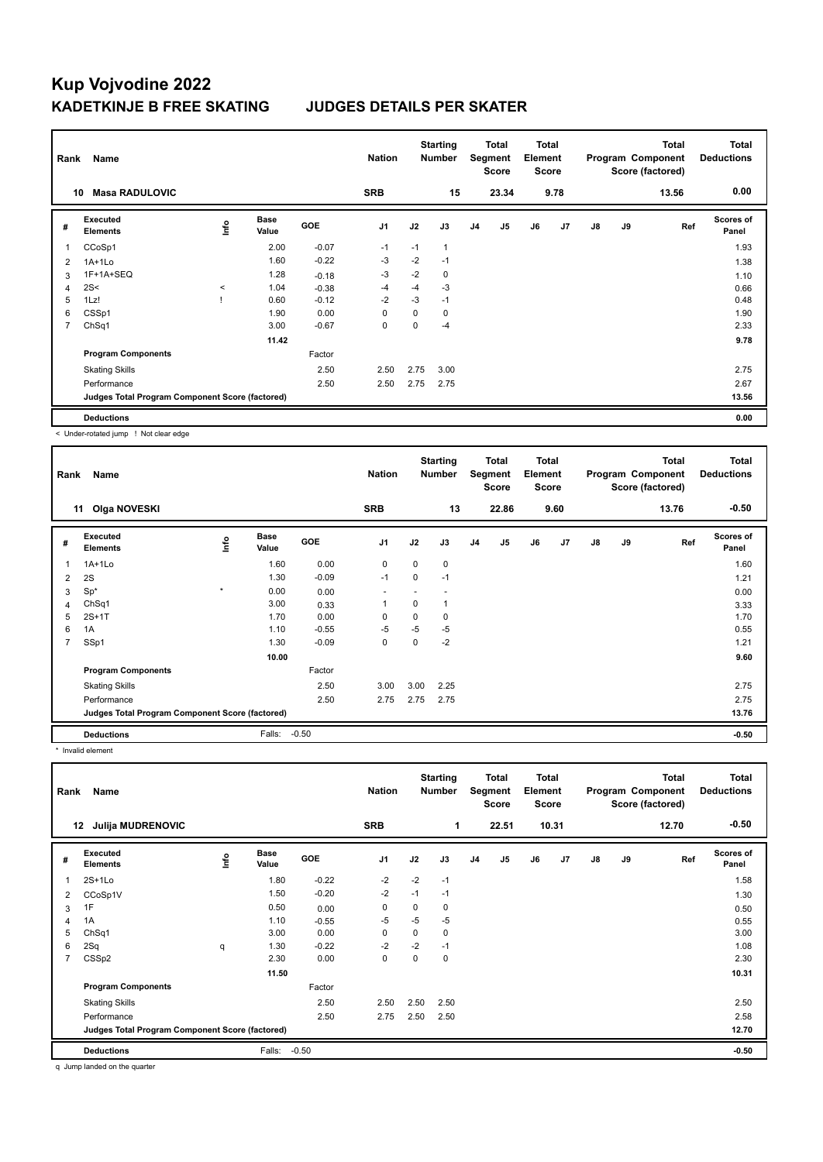| Rank           | Name                                            |             |                      |            | <b>Nation</b>  |          | <b>Starting</b><br><b>Number</b> |                | Total<br>Segment<br><b>Score</b> | <b>Total</b><br>Element<br><b>Score</b> |                |    |    | <b>Total</b><br>Program Component<br>Score (factored) | <b>Total</b><br><b>Deductions</b> |
|----------------|-------------------------------------------------|-------------|----------------------|------------|----------------|----------|----------------------------------|----------------|----------------------------------|-----------------------------------------|----------------|----|----|-------------------------------------------------------|-----------------------------------|
| 10             | <b>Masa RADULOVIC</b>                           |             |                      |            | <b>SRB</b>     |          | 15                               |                | 23.34                            |                                         | 9.78           |    |    | 13.56                                                 | 0.00                              |
| #              | Executed<br><b>Elements</b>                     | <u>lnfo</u> | <b>Base</b><br>Value | <b>GOE</b> | J <sub>1</sub> | J2       | J3                               | J <sub>4</sub> | J <sub>5</sub>                   | J6                                      | J <sub>7</sub> | J8 | J9 | Ref                                                   | <b>Scores of</b><br>Panel         |
| 1              | CCoSp1                                          |             | 2.00                 | $-0.07$    | $-1$           | $-1$     | $\mathbf{1}$                     |                |                                  |                                         |                |    |    |                                                       | 1.93                              |
| $\overline{2}$ | $1A+1Lo$                                        |             | 1.60                 | $-0.22$    | -3             | $-2$     | $-1$                             |                |                                  |                                         |                |    |    |                                                       | 1.38                              |
| 3              | 1F+1A+SEQ                                       |             | 1.28                 | $-0.18$    | $-3$           | $-2$     | 0                                |                |                                  |                                         |                |    |    |                                                       | 1.10                              |
| 4              | 2S<                                             | $\prec$     | 1.04                 | $-0.38$    | $-4$           | $-4$     | $-3$                             |                |                                  |                                         |                |    |    |                                                       | 0.66                              |
| 5              | 1Lz!                                            |             | 0.60                 | $-0.12$    | $-2$           | $-3$     | $-1$                             |                |                                  |                                         |                |    |    |                                                       | 0.48                              |
| 6              | CSSp1                                           |             | 1.90                 | 0.00       | 0              | 0        | 0                                |                |                                  |                                         |                |    |    |                                                       | 1.90                              |
| 7              | ChSq1                                           |             | 3.00                 | $-0.67$    | $\mathbf 0$    | $\Omega$ | $-4$                             |                |                                  |                                         |                |    |    |                                                       | 2.33                              |
|                |                                                 |             | 11.42                |            |                |          |                                  |                |                                  |                                         |                |    |    |                                                       | 9.78                              |
|                | <b>Program Components</b>                       |             |                      | Factor     |                |          |                                  |                |                                  |                                         |                |    |    |                                                       |                                   |
|                | <b>Skating Skills</b>                           |             |                      | 2.50       | 2.50           | 2.75     | 3.00                             |                |                                  |                                         |                |    |    |                                                       | 2.75                              |
|                | Performance                                     |             |                      | 2.50       | 2.50           | 2.75     | 2.75                             |                |                                  |                                         |                |    |    |                                                       | 2.67                              |
|                | Judges Total Program Component Score (factored) |             |                      |            |                |          |                                  |                |                                  |                                         |                |    |    |                                                       | 13.56                             |
|                | <b>Deductions</b>                               |             |                      |            |                |          |                                  |                |                                  |                                         |                |    |    |                                                       | 0.00                              |

< Under-rotated jump ! Not clear edge

| Rank           | Name                                            |         |                      |         | <b>Nation</b>  |      | <b>Starting</b><br><b>Number</b> |                | Total<br>Segment<br><b>Score</b> | <b>Total</b><br>Element<br>Score |                |               |    | <b>Total</b><br>Program Component<br>Score (factored) | Total<br><b>Deductions</b> |
|----------------|-------------------------------------------------|---------|----------------------|---------|----------------|------|----------------------------------|----------------|----------------------------------|----------------------------------|----------------|---------------|----|-------------------------------------------------------|----------------------------|
|                | <b>Olga NOVESKI</b><br>11                       |         |                      |         | <b>SRB</b>     |      | 13                               |                | 22.86                            |                                  | 9.60           |               |    | 13.76                                                 | $-0.50$                    |
| #              | <b>Executed</b><br><b>Elements</b>              | ١nf٥    | <b>Base</b><br>Value | GOE     | J <sub>1</sub> | J2   | J3                               | J <sub>4</sub> | J5                               | J6                               | J <sub>7</sub> | $\mathsf{J}8$ | J9 | Ref                                                   | Scores of<br>Panel         |
| 1              | $1A+1L0$                                        |         | 1.60                 | 0.00    | 0              | 0    | 0                                |                |                                  |                                  |                |               |    |                                                       | 1.60                       |
| 2              | 2S                                              |         | 1.30                 | $-0.09$ | $-1$           | 0    | $-1$                             |                |                                  |                                  |                |               |    |                                                       | 1.21                       |
| 3              | $Sp^*$                                          | $\star$ | 0.00                 | 0.00    |                |      |                                  |                |                                  |                                  |                |               |    |                                                       | 0.00                       |
| 4              | ChSq1                                           |         | 3.00                 | 0.33    | 1              | 0    |                                  |                |                                  |                                  |                |               |    |                                                       | 3.33                       |
| 5              | $2S+1T$                                         |         | 1.70                 | 0.00    | 0              | 0    | 0                                |                |                                  |                                  |                |               |    |                                                       | 1.70                       |
| 6              | 1A                                              |         | 1.10                 | $-0.55$ | $-5$           | $-5$ | $-5$                             |                |                                  |                                  |                |               |    |                                                       | 0.55                       |
| $\overline{7}$ | SSp1                                            |         | 1.30                 | $-0.09$ | 0              | 0    | $-2$                             |                |                                  |                                  |                |               |    |                                                       | 1.21                       |
|                |                                                 |         | 10.00                |         |                |      |                                  |                |                                  |                                  |                |               |    |                                                       | 9.60                       |
|                | <b>Program Components</b>                       |         |                      | Factor  |                |      |                                  |                |                                  |                                  |                |               |    |                                                       |                            |
|                | <b>Skating Skills</b>                           |         |                      | 2.50    | 3.00           | 3.00 | 2.25                             |                |                                  |                                  |                |               |    |                                                       | 2.75                       |
|                | Performance                                     |         |                      | 2.50    | 2.75           | 2.75 | 2.75                             |                |                                  |                                  |                |               |    |                                                       | 2.75                       |
|                | Judges Total Program Component Score (factored) |         |                      |         |                |      |                                  |                |                                  |                                  |                |               |    |                                                       | 13.76                      |
|                | <b>Deductions</b>                               |         | Falls:               | $-0.50$ |                |      |                                  |                |                                  |                                  |                |               |    |                                                       | $-0.50$                    |

\* Invalid element

| Rank           | Name                                            |      |                      |         | <b>Nation</b>  |          | <b>Starting</b><br><b>Number</b> |                | <b>Total</b><br>Segment<br><b>Score</b> | Total<br>Element<br><b>Score</b> |       |               |    | <b>Total</b><br>Program Component<br>Score (factored) | <b>Total</b><br><b>Deductions</b> |
|----------------|-------------------------------------------------|------|----------------------|---------|----------------|----------|----------------------------------|----------------|-----------------------------------------|----------------------------------|-------|---------------|----|-------------------------------------------------------|-----------------------------------|
| 12             | <b>Julija MUDRENOVIC</b>                        |      |                      |         | <b>SRB</b>     |          | 1                                |                | 22.51                                   |                                  | 10.31 |               |    | 12.70                                                 | $-0.50$                           |
| #              | Executed<br><b>Elements</b>                     | ١nf٥ | <b>Base</b><br>Value | GOE     | J <sub>1</sub> | J2       | J3                               | J <sub>4</sub> | J5                                      | J6                               | J7    | $\mathsf{J}8$ | J9 | Ref                                                   | <b>Scores of</b><br>Panel         |
|                | $2S+1Lo$                                        |      | 1.80                 | $-0.22$ | $-2$           | $-2$     | $-1$                             |                |                                         |                                  |       |               |    |                                                       | 1.58                              |
| 2              | CCoSp1V                                         |      | 1.50                 | $-0.20$ | $-2$           | $-1$     | $-1$                             |                |                                         |                                  |       |               |    |                                                       | 1.30                              |
| 3              | 1F                                              |      | 0.50                 | 0.00    | 0              | $\Omega$ | 0                                |                |                                         |                                  |       |               |    |                                                       | 0.50                              |
| $\overline{4}$ | 1A                                              |      | 1.10                 | $-0.55$ | $-5$           | $-5$     | $-5$                             |                |                                         |                                  |       |               |    |                                                       | 0.55                              |
| 5              | ChSq1                                           |      | 3.00                 | 0.00    | 0              | 0        | 0                                |                |                                         |                                  |       |               |    |                                                       | 3.00                              |
| 6              | 2Sq                                             | q    | 1.30                 | $-0.22$ | $-2$           | $-2$     | $-1$                             |                |                                         |                                  |       |               |    |                                                       | 1.08                              |
| 7              | CSSp2                                           |      | 2.30                 | 0.00    | 0              | 0        | 0                                |                |                                         |                                  |       |               |    |                                                       | 2.30                              |
|                |                                                 |      | 11.50                |         |                |          |                                  |                |                                         |                                  |       |               |    |                                                       | 10.31                             |
|                | <b>Program Components</b>                       |      |                      | Factor  |                |          |                                  |                |                                         |                                  |       |               |    |                                                       |                                   |
|                | <b>Skating Skills</b>                           |      |                      | 2.50    | 2.50           | 2.50     | 2.50                             |                |                                         |                                  |       |               |    |                                                       | 2.50                              |
|                | Performance                                     |      |                      | 2.50    | 2.75           | 2.50     | 2.50                             |                |                                         |                                  |       |               |    |                                                       | 2.58                              |
|                | Judges Total Program Component Score (factored) |      |                      |         |                |          |                                  |                |                                         |                                  |       |               |    |                                                       | 12.70                             |
|                | <b>Deductions</b>                               |      | Falls:               | $-0.50$ |                |          |                                  |                |                                         |                                  |       |               |    |                                                       | $-0.50$                           |

q Jump landed on the quarter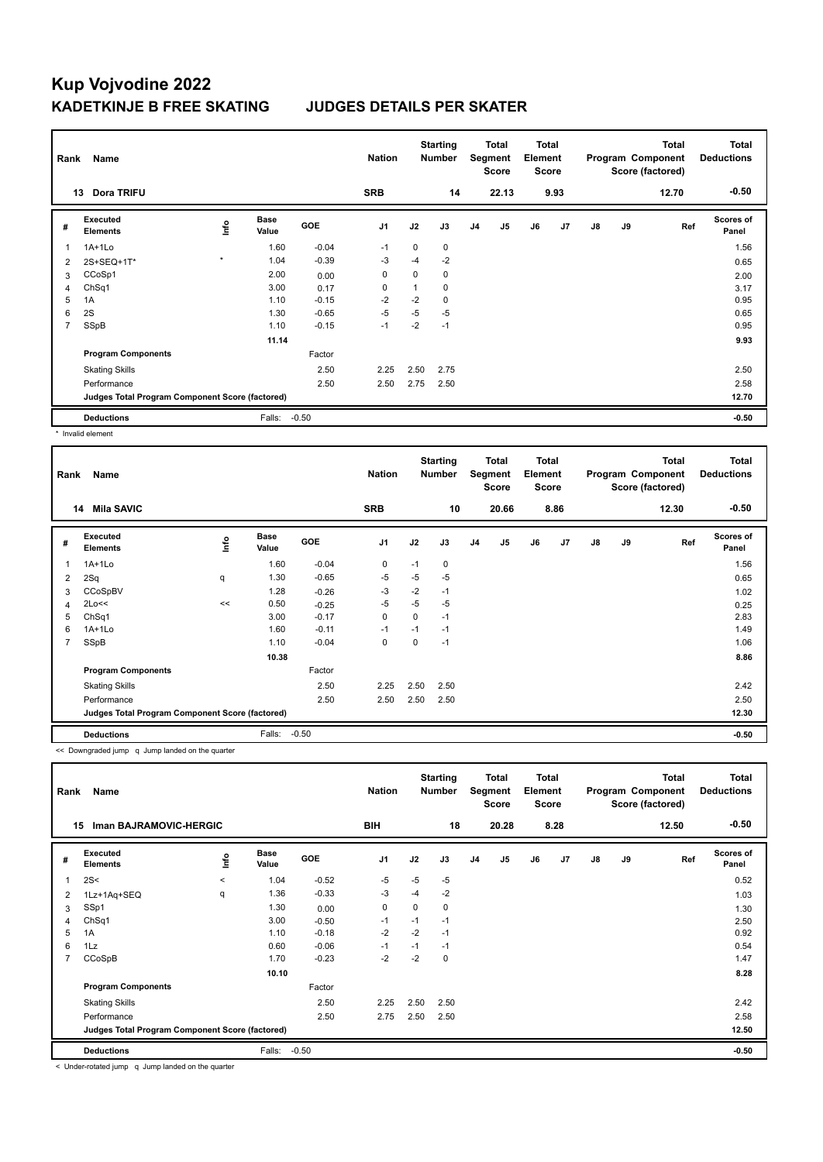| Rank           | Name                                            |         |                      |            | <b>Nation</b>  |          | <b>Starting</b><br><b>Number</b> |                | Total<br>Segment<br><b>Score</b> | <b>Total</b><br>Element<br><b>Score</b> |      |    |    | <b>Total</b><br>Program Component<br>Score (factored) | <b>Total</b><br><b>Deductions</b> |
|----------------|-------------------------------------------------|---------|----------------------|------------|----------------|----------|----------------------------------|----------------|----------------------------------|-----------------------------------------|------|----|----|-------------------------------------------------------|-----------------------------------|
|                | Dora TRIFU<br>13                                |         |                      |            | <b>SRB</b>     |          | 14                               |                | 22.13                            |                                         | 9.93 |    |    | 12.70                                                 | $-0.50$                           |
| #              | Executed<br><b>Elements</b>                     | ۴       | <b>Base</b><br>Value | <b>GOE</b> | J <sub>1</sub> | J2       | J3                               | J <sub>4</sub> | J <sub>5</sub>                   | J6                                      | J7   | J8 | J9 | Ref                                                   | <b>Scores of</b><br>Panel         |
| 1              | $1A+1Lo$                                        |         | 1.60                 | $-0.04$    | $-1$           | $\Omega$ | $\mathbf 0$                      |                |                                  |                                         |      |    |    |                                                       | 1.56                              |
| $\overline{2}$ | 2S+SEQ+1T*                                      | $\star$ | 1.04                 | $-0.39$    | -3             | $-4$     | $-2$                             |                |                                  |                                         |      |    |    |                                                       | 0.65                              |
| 3              | CCoSp1                                          |         | 2.00                 | 0.00       | 0              | 0        | 0                                |                |                                  |                                         |      |    |    |                                                       | 2.00                              |
| 4              | ChSq1                                           |         | 3.00                 | 0.17       | 0              | 1        | 0                                |                |                                  |                                         |      |    |    |                                                       | 3.17                              |
| 5              | 1A                                              |         | 1.10                 | $-0.15$    | $-2$           | $-2$     | 0                                |                |                                  |                                         |      |    |    |                                                       | 0.95                              |
| 6              | 2S                                              |         | 1.30                 | $-0.65$    | $-5$           | $-5$     | $-5$                             |                |                                  |                                         |      |    |    |                                                       | 0.65                              |
| $\overline{7}$ | SSpB                                            |         | 1.10                 | $-0.15$    | $-1$           | $-2$     | $-1$                             |                |                                  |                                         |      |    |    |                                                       | 0.95                              |
|                |                                                 |         | 11.14                |            |                |          |                                  |                |                                  |                                         |      |    |    |                                                       | 9.93                              |
|                | <b>Program Components</b>                       |         |                      | Factor     |                |          |                                  |                |                                  |                                         |      |    |    |                                                       |                                   |
|                | <b>Skating Skills</b>                           |         |                      | 2.50       | 2.25           | 2.50     | 2.75                             |                |                                  |                                         |      |    |    |                                                       | 2.50                              |
|                | Performance                                     |         |                      | 2.50       | 2.50           | 2.75     | 2.50                             |                |                                  |                                         |      |    |    |                                                       | 2.58                              |
|                | Judges Total Program Component Score (factored) |         |                      |            |                |          |                                  |                |                                  |                                         |      |    |    |                                                       | 12.70                             |
|                | <b>Deductions</b>                               |         | Falls:               | $-0.50$    |                |          |                                  |                |                                  |                                         |      |    |    |                                                       | $-0.50$                           |

\* Invalid element

| Rank           | Name                                            |      |                      |            | <b>Nation</b>  |          | <b>Starting</b><br>Number |                | <b>Total</b><br>Segment<br><b>Score</b> | <b>Total</b><br>Element<br><b>Score</b> |      |               |    | <b>Total</b><br>Program Component<br>Score (factored) | <b>Total</b><br><b>Deductions</b> |
|----------------|-------------------------------------------------|------|----------------------|------------|----------------|----------|---------------------------|----------------|-----------------------------------------|-----------------------------------------|------|---------------|----|-------------------------------------------------------|-----------------------------------|
| 14             | <b>Mila SAVIC</b>                               |      |                      |            | <b>SRB</b>     |          | 10                        |                | 20.66                                   |                                         | 8.86 |               |    | 12.30                                                 | $-0.50$                           |
| #              | <b>Executed</b><br><b>Elements</b>              | ١nfo | <b>Base</b><br>Value | <b>GOE</b> | J <sub>1</sub> | J2       | J3                        | J <sub>4</sub> | J5                                      | J6                                      | J7   | $\mathsf{J}8$ | J9 | Ref                                                   | <b>Scores of</b><br>Panel         |
| 1              | $1A+1L0$                                        |      | 1.60                 | $-0.04$    | 0              | $-1$     | 0                         |                |                                         |                                         |      |               |    |                                                       | 1.56                              |
| $\overline{2}$ | 2Sq                                             | q    | 1.30                 | $-0.65$    | $-5$           | $-5$     | $-5$                      |                |                                         |                                         |      |               |    |                                                       | 0.65                              |
| 3              | CCoSpBV                                         |      | 1.28                 | $-0.26$    | -3             | $-2$     | $-1$                      |                |                                         |                                         |      |               |    |                                                       | 1.02                              |
| 4              | 2Lo<<                                           | <<   | 0.50                 | $-0.25$    | $-5$           | $-5$     | $-5$                      |                |                                         |                                         |      |               |    |                                                       | 0.25                              |
| 5              | ChSq1                                           |      | 3.00                 | $-0.17$    | $\mathbf 0$    | 0        | $-1$                      |                |                                         |                                         |      |               |    |                                                       | 2.83                              |
| 6              | $1A+1L0$                                        |      | 1.60                 | $-0.11$    | $-1$           | $-1$     | $-1$                      |                |                                         |                                         |      |               |    |                                                       | 1.49                              |
| $\overline{7}$ | SSpB                                            |      | 1.10                 | $-0.04$    | 0              | $\Omega$ | $-1$                      |                |                                         |                                         |      |               |    |                                                       | 1.06                              |
|                |                                                 |      | 10.38                |            |                |          |                           |                |                                         |                                         |      |               |    |                                                       | 8.86                              |
|                | <b>Program Components</b>                       |      |                      | Factor     |                |          |                           |                |                                         |                                         |      |               |    |                                                       |                                   |
|                | <b>Skating Skills</b>                           |      |                      | 2.50       | 2.25           | 2.50     | 2.50                      |                |                                         |                                         |      |               |    |                                                       | 2.42                              |
|                | Performance                                     |      |                      | 2.50       | 2.50           | 2.50     | 2.50                      |                |                                         |                                         |      |               |    |                                                       | 2.50                              |
|                | Judges Total Program Component Score (factored) |      |                      |            |                |          |                           |                |                                         |                                         |      |               |    |                                                       | 12.30                             |
|                | <b>Deductions</b>                               |      | Falls:               | $-0.50$    |                |          |                           |                |                                         |                                         |      |               |    |                                                       | $-0.50$                           |

<< Downgraded jump q Jump landed on the quarter

| Rank                         | Name                                            |         |                      |         | <b>Nation</b>  |      | <b>Starting</b><br><b>Number</b> |                | <b>Total</b><br>Segment<br><b>Score</b> | <b>Total</b><br>Element<br><b>Score</b> |      |    |    | <b>Total</b><br>Program Component<br>Score (factored) | <b>Total</b><br><b>Deductions</b> |
|------------------------------|-------------------------------------------------|---------|----------------------|---------|----------------|------|----------------------------------|----------------|-----------------------------------------|-----------------------------------------|------|----|----|-------------------------------------------------------|-----------------------------------|
| Iman BAJRAMOVIC-HERGIC<br>15 |                                                 |         |                      |         | BIH            |      | 18                               |                | 20.28                                   |                                         | 8.28 |    |    | 12.50                                                 | $-0.50$                           |
| #                            | Executed<br><b>Elements</b>                     | ١nf٥    | <b>Base</b><br>Value | GOE     | J <sub>1</sub> | J2   | J3                               | J <sub>4</sub> | J5                                      | J6                                      | J7   | J8 | J9 | Ref                                                   | Scores of<br>Panel                |
| 1                            | 2S<                                             | $\prec$ | 1.04                 | $-0.52$ | $-5$           | $-5$ | $-5$                             |                |                                         |                                         |      |    |    |                                                       | 0.52                              |
| $\overline{2}$               | 1Lz+1Aq+SEQ                                     | q       | 1.36                 | $-0.33$ | $-3$           | $-4$ | $-2$                             |                |                                         |                                         |      |    |    |                                                       | 1.03                              |
| 3                            | SSp1                                            |         | 1.30                 | 0.00    | $\mathbf 0$    | 0    | 0                                |                |                                         |                                         |      |    |    |                                                       | 1.30                              |
| 4                            | ChSq1                                           |         | 3.00                 | $-0.50$ | $-1$           | $-1$ | $-1$                             |                |                                         |                                         |      |    |    |                                                       | 2.50                              |
| 5                            | 1A                                              |         | 1.10                 | $-0.18$ | $-2$           | $-2$ | $-1$                             |                |                                         |                                         |      |    |    |                                                       | 0.92                              |
| 6                            | 1Lz                                             |         | 0.60                 | $-0.06$ | $-1$           | $-1$ | $-1$                             |                |                                         |                                         |      |    |    |                                                       | 0.54                              |
| 7                            | CCoSpB                                          |         | 1.70                 | $-0.23$ | $-2$           | $-2$ | 0                                |                |                                         |                                         |      |    |    |                                                       | 1.47                              |
|                              |                                                 |         | 10.10                |         |                |      |                                  |                |                                         |                                         |      |    |    |                                                       | 8.28                              |
|                              | <b>Program Components</b>                       |         |                      | Factor  |                |      |                                  |                |                                         |                                         |      |    |    |                                                       |                                   |
|                              | <b>Skating Skills</b>                           |         |                      | 2.50    | 2.25           | 2.50 | 2.50                             |                |                                         |                                         |      |    |    |                                                       | 2.42                              |
|                              | Performance                                     |         |                      | 2.50    | 2.75           | 2.50 | 2.50                             |                |                                         |                                         |      |    |    |                                                       | 2.58                              |
|                              | Judges Total Program Component Score (factored) |         |                      |         |                |      |                                  |                |                                         |                                         |      |    |    |                                                       | 12.50                             |
|                              | <b>Deductions</b>                               |         | Falls:               | $-0.50$ |                |      |                                  |                |                                         |                                         |      |    |    |                                                       | $-0.50$                           |

< Under-rotated jump q Jump landed on the quarter